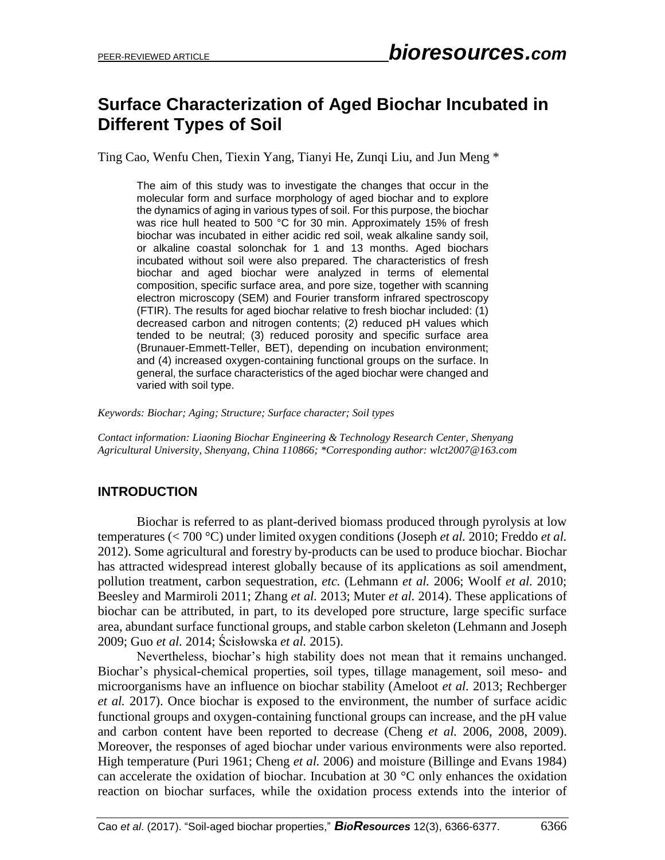# **Surface Characterization of Aged Biochar Incubated in Different Types of Soil**

Ting Cao, Wenfu Chen, Tiexin Yang, Tianyi He, Zunqi Liu, and Jun Meng \*

The aim of this study was to investigate the changes that occur in the molecular form and surface morphology of aged biochar and to explore the dynamics of aging in various types of soil. For this purpose, the biochar was rice hull heated to 500 °C for 30 min. Approximately 15% of fresh biochar was incubated in either acidic red soil, weak alkaline sandy soil, or alkaline coastal solonchak for 1 and 13 months. Aged biochars incubated without soil were also prepared. The characteristics of fresh biochar and aged biochar were analyzed in terms of elemental composition, specific surface area, and pore size, together with scanning electron microscopy (SEM) and Fourier transform infrared spectroscopy (FTIR). The results for aged biochar relative to fresh biochar included: (1) decreased carbon and nitrogen contents; (2) reduced pH values which tended to be neutral; (3) reduced porosity and specific surface area (Brunauer-Emmett-Teller, BET), depending on incubation environment; and (4) increased oxygen-containing functional groups on the surface. In general, the surface characteristics of the aged biochar were changed and varied with soil type.

*Keywords: Biochar; Aging; Structure; Surface character; Soil types*

*Contact information: Liaoning Biochar Engineering & Technology Research Center, Shenyang Agricultural University, Shenyang, China 110866; \*Corresponding author: wlct2007@163.com*

## **INTRODUCTION**

Biochar is referred to as plant-derived biomass produced through pyrolysis at low temperatures (< 700 °C) under limited oxygen conditions (Joseph *et al.* 2010; Freddo *et al.* 2012). Some agricultural and forestry by-products can be used to produce biochar. Biochar has attracted widespread interest globally because of its applications as soil amendment, pollution treatment, carbon sequestration, *etc.* (Lehmann *et al.* 2006; Woolf *et al.* 2010; Beesley and Marmiroli 2011; Zhang *et al.* 2013; Muter *et al.* 2014). These applications of biochar can be attributed, in part, to its developed pore structure, large specific surface area, abundant surface functional groups, and stable carbon skeleton (Lehmann and Joseph 2009; Guo *et al.* 2014; Ścisłowska *et al.* 2015).

Nevertheless, biochar's high stability does not mean that it remains unchanged. Biochar's physical-chemical properties, soil types, tillage management, soil meso- and microorganisms have an influence on biochar stability (Ameloot *et al.* 2013; Rechberger *et al.* 2017). Once biochar is exposed to the environment, the number of surface acidic functional groups and oxygen-containing functional groups can increase, and the pH value and carbon content have been reported to decrease (Cheng *et al.* 2006, 2008, 2009). Moreover, the responses of aged biochar under various environments were also reported. High temperature (Puri 1961; Cheng *et al.* 2006) and moisture (Billinge and Evans 1984) can accelerate the oxidation of biochar. Incubation at 30 °C only enhances the oxidation reaction on biochar surfaces, while the oxidation process extends into the interior of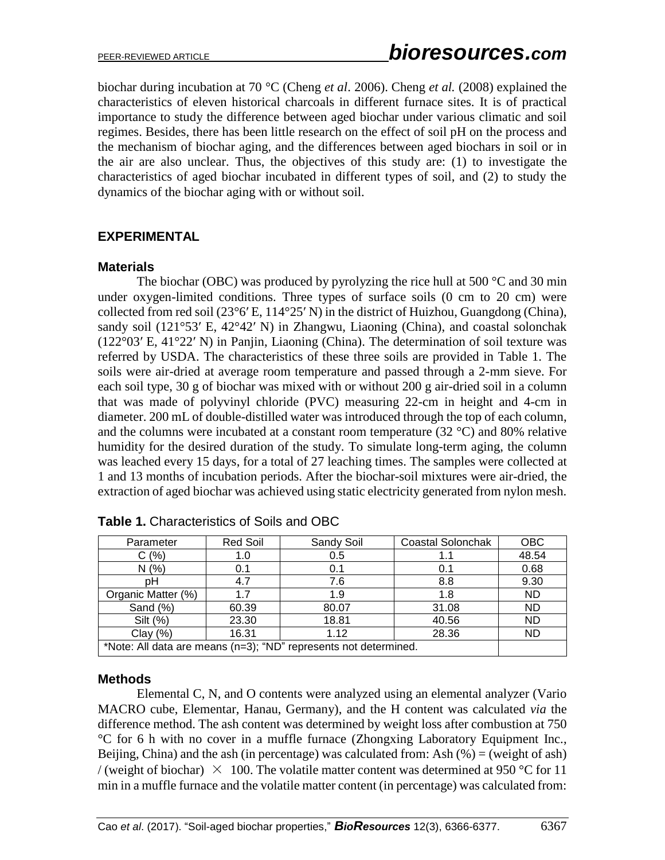biochar during incubation at 70 °C (Cheng *et al*. 2006). Cheng *et al.* (2008) explained the characteristics of eleven historical charcoals in different furnace sites. It is of practical importance to study the difference between aged biochar under various climatic and soil regimes. Besides, there has been little research on the effect of soil pH on the process and the mechanism of biochar aging, and the differences between aged biochars in soil or in the air are also unclear. Thus, the objectives of this study are: (1) to investigate the characteristics of aged biochar incubated in different types of soil, and (2) to study the dynamics of the biochar aging with or without soil.

## **EXPERIMENTAL**

#### **Materials**

The biochar (OBC) was produced by pyrolyzing the rice hull at 500  $\degree$ C and 30 min under oxygen-limited conditions. Three types of surface soils (0 cm to 20 cm) were collected from red soil (23°6′ E, 114°25′ N) in the district of Huizhou, Guangdong (China), sandy soil (121°53′ E, 42°42′ N) in Zhangwu, Liaoning (China), and coastal solonchak (122°03′ E, 41°22′ N) in Panjin, Liaoning (China). The determination of soil texture was referred by USDA. The characteristics of these three soils are provided in Table 1. The soils were air-dried at average room temperature and passed through a 2-mm sieve. For each soil type, 30 g of biochar was mixed with or without 200 g air-dried soil in a column that was made of polyvinyl chloride (PVC) measuring 22-cm in height and 4-cm in diameter. 200 mL of double-distilled water was introduced through the top of each column, and the columns were incubated at a constant room temperature (32 °C) and 80% relative humidity for the desired duration of the study. To simulate long-term aging, the column was leached every 15 days, for a total of 27 leaching times. The samples were collected at 1 and 13 months of incubation periods. After the biochar-soil mixtures were air-dried, the extraction of aged biochar was achieved using static electricity generated from nylon mesh.

| Parameter                                                        | <b>Red Soil</b> | Sandy Soil | Coastal Solonchak | <b>OBC</b> |  |
|------------------------------------------------------------------|-----------------|------------|-------------------|------------|--|
| C(%)                                                             | 1.0             | 0.5        |                   | 48.54      |  |
| N(%                                                              | 0.1             | 0.1        | 0.1               | 0.68       |  |
| pН                                                               | 4.7             | 7.6        | 8.8               | 9.30       |  |
| Organic Matter (%)                                               | 17              | 1.9        | 1.8               | <b>ND</b>  |  |
| Sand (%)                                                         | 60.39           | 80.07      | 31.08             | <b>ND</b>  |  |
| Silt (%)                                                         | 23.30           | 18.81      | 40.56             | <b>ND</b>  |  |
| Clay $(%)$                                                       | 16.31           | 1.12       | 28.36             | ND         |  |
| *Note: All data are means (n=3); "ND" represents not determined. |                 |            |                   |            |  |

#### **Methods**

Elemental C, N, and O contents were analyzed using an elemental analyzer (Vario MACRO cube, Elementar, Hanau, Germany), and the H content was calculated *via* the difference method. The ash content was determined by weight loss after combustion at 750 °C for 6 h with no cover in a muffle furnace (Zhongxing Laboratory Equipment Inc., Beijing, China) and the ash (in percentage) was calculated from: Ash  $(\%)$  = (weight of ash) / (weight of biochar)  $\times$  100. The volatile matter content was determined at 950 °C for 11 min in a muffle furnace and the volatile matter content (in percentage) was calculated from: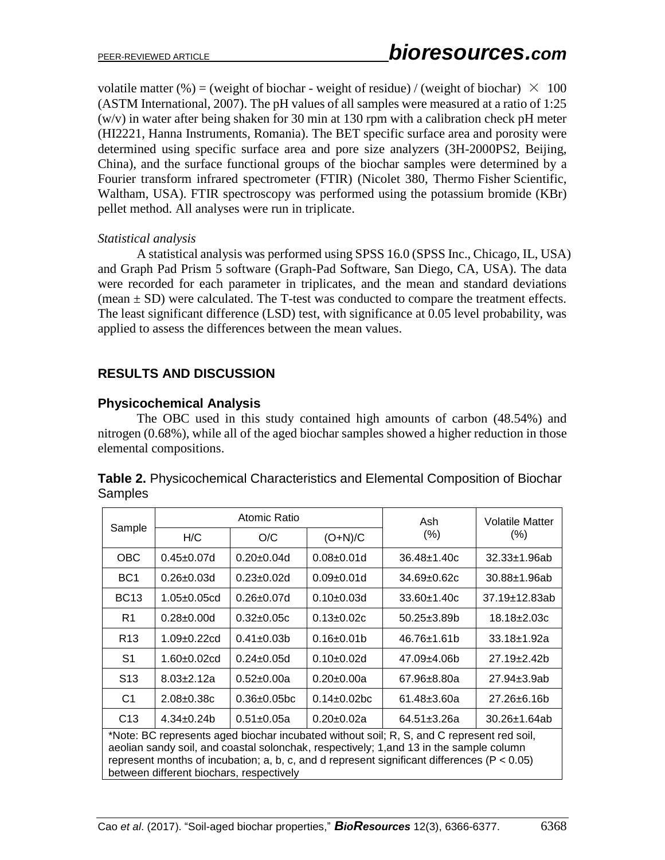volatile matter (%) = (weight of biochar - weight of residue) / (weight of biochar)  $\times$  100 (ASTM International, 2007). The pH values of all samples were measured at a ratio of 1:25 (w/v) in water after being shaken for 30 min at 130 rpm with a calibration check pH meter (HI2221, Hanna Instruments, Romania). The BET specific surface area and porosity were determined using specific surface area and pore size analyzers (3H-2000PS2, Beijing, China), and the surface functional groups of the biochar samples were determined by a Fourier transform infrared spectrometer (FTIR) (Nicolet 380, Thermo Fisher Scientific, Waltham, USA). FTIR spectroscopy was performed using the potassium bromide (KBr) pellet method. All analyses were run in triplicate.

#### *Statistical analysis*

A statistical analysis was performed using SPSS 16.0 (SPSS Inc., Chicago, IL, USA) and Graph Pad Prism 5 software (Graph-Pad Software, San Diego, CA, USA). The data were recorded for each parameter in triplicates, and the mean and standard deviations (mean  $\pm$  SD) were calculated. The T-test was conducted to compare the treatment effects. The least significant difference (LSD) test, with significance at 0.05 level probability, was applied to assess the differences between the mean values.

# **RESULTS AND DISCUSSION**

## **Physicochemical Analysis**

The OBC used in this study contained high amounts of carbon (48.54%) and nitrogen (0.68%), while all of the aged biochar samples showed a higher reduction in those elemental compositions.

| Sample                                                                                                                                                                                                                                                                                                                              | Atomic Ratio       |                    |                    | Ash                | <b>Volatile Matter</b> |  |  |
|-------------------------------------------------------------------------------------------------------------------------------------------------------------------------------------------------------------------------------------------------------------------------------------------------------------------------------------|--------------------|--------------------|--------------------|--------------------|------------------------|--|--|
|                                                                                                                                                                                                                                                                                                                                     | H/C                | O/C                | $(O+N)/C$          | $(\% )$            | $(\% )$                |  |  |
| <b>OBC</b>                                                                                                                                                                                                                                                                                                                          | $0.45 \pm 0.07$ d  | $0.20 \pm 0.04$ d  | $0.08 + 0.01d$     | $36.48 \pm 1.40c$  | $32.33 \pm 1.96$ ab    |  |  |
| BC <sub>1</sub>                                                                                                                                                                                                                                                                                                                     | $0.26 \pm 0.03$ d  | $0.23 \pm 0.02$ d  | $0.09 + 0.01d$     | $34.69 \pm 0.62c$  | $30.88 + 1.96ab$       |  |  |
| <b>BC13</b>                                                                                                                                                                                                                                                                                                                         | $1.05 \pm 0.05$ cd | $0.26 \pm 0.07$ d  | $0.10+0.03d$       | $33.60 \pm 1.40c$  | 37.19±12.83ab          |  |  |
| R1                                                                                                                                                                                                                                                                                                                                  | $0.28 \pm 0.00$ d  | $0.32 \pm 0.05c$   | $0.13 + 0.02c$     | $50.25 \pm 3.89 b$ | $18.18 \pm 2.03c$      |  |  |
| R <sub>13</sub>                                                                                                                                                                                                                                                                                                                     | 1.09±0.22cd        | $0.41 \pm 0.03 b$  | $0.16 \pm 0.01$    | $46.76 \pm 1.61$   | 33.18±1.92a            |  |  |
| S1                                                                                                                                                                                                                                                                                                                                  | $1.60 + 0.02$ cd   | $0.24 \pm 0.05$ d  | $0.10+0.02d$       | 47.09±4.06b        | $27.19 \pm 2.42$       |  |  |
| S <sub>13</sub>                                                                                                                                                                                                                                                                                                                     | $8.03 + 2.12a$     | $0.52 + 0.00a$     | $0.20 \pm 0.00a$   | $67.96 \pm 8.80a$  | 27.94±3.9ab            |  |  |
| C1                                                                                                                                                                                                                                                                                                                                  | $2.08 \pm 0.38c$   | $0.36 \pm 0.05$ bc | $0.14 \pm 0.02$ bc | $61.48 \pm 3.60a$  | 27.26±6.16b            |  |  |
| C <sub>13</sub>                                                                                                                                                                                                                                                                                                                     | $4.34 \pm 0.24$    | $0.51 \pm 0.05a$   | $0.20 \pm 0.02a$   | $64.51 \pm 3.26a$  | $30.26 \pm 1.64$ ab    |  |  |
| *Note: BC represents aged biochar incubated without soil; R, S, and C represent red soil,<br>aeolian sandy soil, and coastal solonchak, respectively; 1, and 13 in the sample column<br>represent months of incubation; a, b, c, and d represent significant differences ( $P < 0.05$ )<br>between different biochars, respectively |                    |                    |                    |                    |                        |  |  |

|         | Table 2. Physicochemical Characteristics and Elemental Composition of Biochar |  |  |
|---------|-------------------------------------------------------------------------------|--|--|
| Samples |                                                                               |  |  |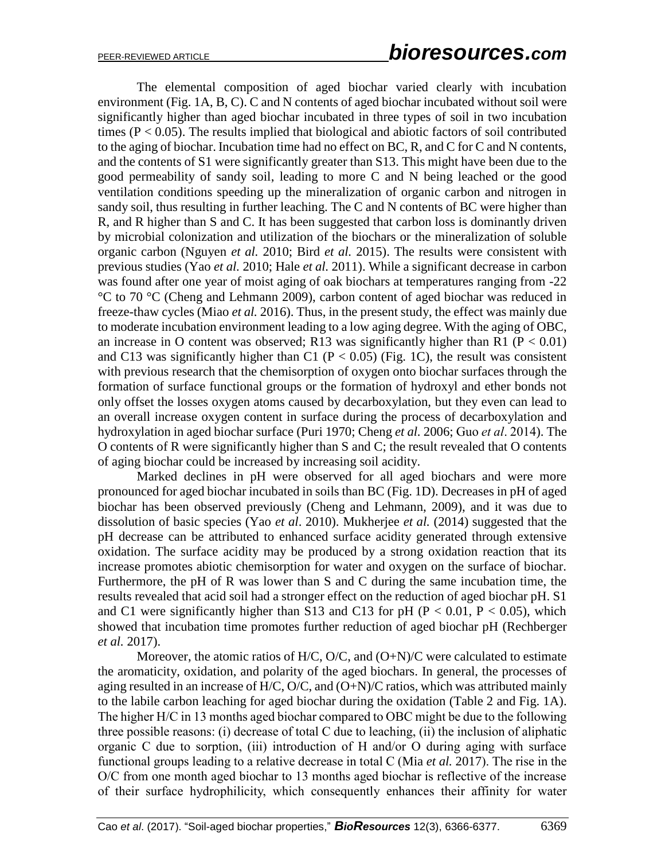The elemental composition of aged biochar varied clearly with incubation environment (Fig. 1A, B, C). C and N contents of aged biochar incubated without soil were significantly higher than aged biochar incubated in three types of soil in two incubation times ( $P < 0.05$ ). The results implied that biological and abiotic factors of soil contributed to the aging of biochar. Incubation time had no effect on BC, R, and C for C and N contents, and the contents of S1 were significantly greater than S13. This might have been due to the good permeability of sandy soil, leading to more C and N being leached or the good ventilation conditions speeding up the mineralization of organic carbon and nitrogen in sandy soil, thus resulting in further leaching. The C and N contents of BC were higher than R, and R higher than S and C. It has been suggested that carbon loss is dominantly driven by microbial colonization and utilization of the biochars or the mineralization of soluble organic carbon (Nguyen *et al.* 2010; Bird *et al.* 2015). The results were consistent with previous studies (Yao *et al.* 2010; Hale *et al.* 2011). While a significant decrease in carbon was found after one year of moist aging of oak biochars at temperatures ranging from -22 °C to 70 °C (Cheng and Lehmann 2009), carbon content of aged biochar was reduced in freeze-thaw cycles (Miao *et al.* 2016). Thus, in the present study, the effect was mainly due to moderate incubation environment leading to a low aging degree. With the aging of OBC, an increase in O content was observed; R13 was significantly higher than R1 ( $P < 0.01$ ) and C13 was significantly higher than C1 ( $P < 0.05$ ) (Fig. 1C), the result was consistent with previous research that the chemisorption of oxygen onto biochar surfaces through the formation of surface functional groups or the formation of hydroxyl and ether bonds not only offset the losses oxygen atoms caused by decarboxylation, but they even can lead to an overall increase oxygen content in surface during the process of decarboxylation and hydroxylation in aged biochar surface (Puri 1970; Cheng *et al.* 2006; Guo *et al*. 2014). The O contents of R were significantly higher than S and C; the result revealed that O contents of aging biochar could be increased by increasing soil acidity.

Marked declines in pH were observed for all aged biochars and were more pronounced for aged biochar incubated in soils than BC (Fig. 1D). Decreases in pH of aged biochar has been observed previously (Cheng and Lehmann, 2009), and it was due to dissolution of basic species (Yao *et al*. 2010). Mukherjee *et al.* (2014) suggested that the pH decrease can be attributed to enhanced surface acidity generated through extensive oxidation. The surface acidity may be produced by a strong oxidation reaction that its increase promotes abiotic chemisorption for water and oxygen on the surface of biochar. Furthermore, the pH of R was lower than S and C during the same incubation time, the results revealed that acid soil had a stronger effect on the reduction of aged biochar pH. S1 and C1 were significantly higher than S13 and C13 for pH ( $P < 0.01$ ,  $P < 0.05$ ), which showed that incubation time promotes further reduction of aged biochar pH (Rechberger *et al.* 2017).

Moreover, the atomic ratios of  $H/C$ ,  $O/C$ , and  $(O+N)/C$  were calculated to estimate the aromaticity, oxidation, and polarity of the aged biochars. In general, the processes of aging resulted in an increase of H/C, O/C, and (O+N)/C ratios, which was attributed mainly to the labile carbon leaching for aged biochar during the oxidation (Table 2 and Fig. 1A). The higher H/C in 13 months aged biochar compared to OBC might be due to the following three possible reasons: (i) decrease of total C due to leaching, (ii) the inclusion of aliphatic organic C due to sorption, (iii) introduction of H and/or O during aging with surface functional groups leading to a relative decrease in total C (Mia *et al.* 2017). The rise in the O/C from one month aged biochar to 13 months aged biochar is reflective of the increase of their surface hydrophilicity, which consequently enhances their affinity for water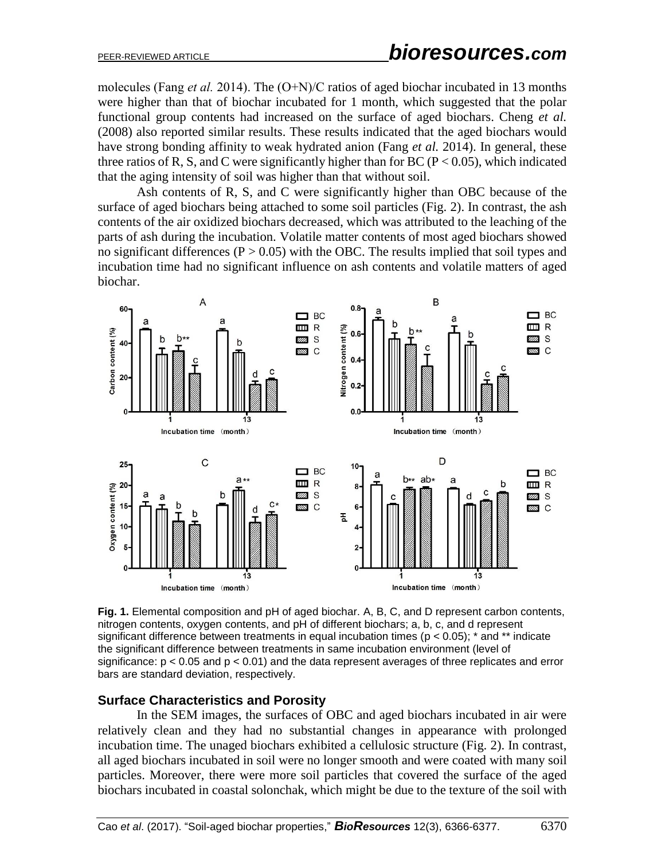molecules (Fang *et al.* 2014). The (O+N)/C ratios of aged biochar incubated in 13 months were higher than that of biochar incubated for 1 month, which suggested that the polar functional group contents had increased on the surface of aged biochars. Cheng *et al.* (2008) also reported similar results. These results indicated that the aged biochars would have strong bonding affinity to weak hydrated anion (Fang *et al.* 2014). In general, these three ratios of R, S, and C were significantly higher than for BC ( $P < 0.05$ ), which indicated that the aging intensity of soil was higher than that without soil.

Ash contents of R, S, and C were significantly higher than OBC because of the surface of aged biochars being attached to some soil particles (Fig. 2). In contrast, the ash contents of the air oxidized biochars decreased, which was attributed to the leaching of the parts of ash during the incubation. Volatile matter contents of most aged biochars showed no significant differences ( $P > 0.05$ ) with the OBC. The results implied that soil types and incubation time had no significant influence on ash contents and volatile matters of aged biochar.



**Fig. 1.** Elemental composition and pH of aged biochar. A, B, C, and D represent carbon contents, nitrogen contents, oxygen contents, and pH of different biochars; a, b, c, and d represent significant difference between treatments in equal incubation times ( $p < 0.05$ );  $*$  and  $**$  indicate the significant difference between treatments in same incubation environment (level of significance:  $p < 0.05$  and  $p < 0.01$ ) and the data represent averages of three replicates and error bars are standard deviation, respectively.

#### **Surface Characteristics and Porosity**

In the SEM images, the surfaces of OBC and aged biochars incubated in air were relatively clean and they had no substantial changes in appearance with prolonged incubation time. The unaged biochars exhibited a cellulosic structure (Fig. 2). In contrast, all aged biochars incubated in soil were no longer smooth and were coated with many soil particles. Moreover, there were more soil particles that covered the surface of the aged biochars incubated in coastal solonchak, which might be due to the texture of the soil with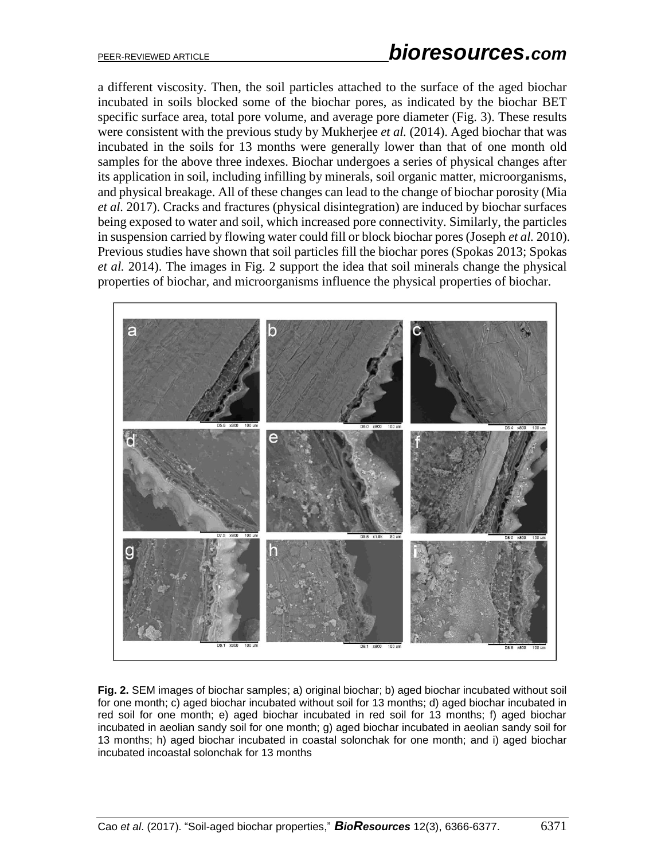a different viscosity. Then, the soil particles attached to the surface of the aged biochar incubated in soils blocked some of the biochar pores, as indicated by the biochar BET specific surface area, total pore volume, and average pore diameter (Fig. 3). These results were consistent with the previous study by Mukherjee *et al.* (2014). Aged biochar that was incubated in the soils for 13 months were generally lower than that of one month old samples for the above three indexes. Biochar undergoes a series of physical changes after its application in soil, including infilling by minerals, soil organic matter, microorganisms, and physical breakage. All of these changes can lead to the change of biochar porosity (Mia *et al.* 2017). Cracks and fractures (physical disintegration) are induced by biochar surfaces being exposed to water and soil, which increased pore connectivity. Similarly, the particles in suspension carried by flowing water could fill or block biochar pores (Joseph *et al.* 2010). Previous studies have shown that soil particles fill the biochar pores (Spokas 2013; Spokas *et al.* 2014). The images in Fig. 2 support the idea that soil minerals change the physical properties of biochar, and microorganisms influence the physical properties of biochar.



**Fig. 2.** SEM images of biochar samples; a) original biochar; b) aged biochar incubated without soil for one month; c) aged biochar incubated without soil for 13 months; d) aged biochar incubated in red soil for one month; e) aged biochar incubated in red soil for 13 months; f) aged biochar incubated in aeolian sandy soil for one month; g) aged biochar incubated in aeolian sandy soil for 13 months; h) aged biochar incubated in coastal solonchak for one month; and i) aged biochar incubated incoastal solonchak for 13 months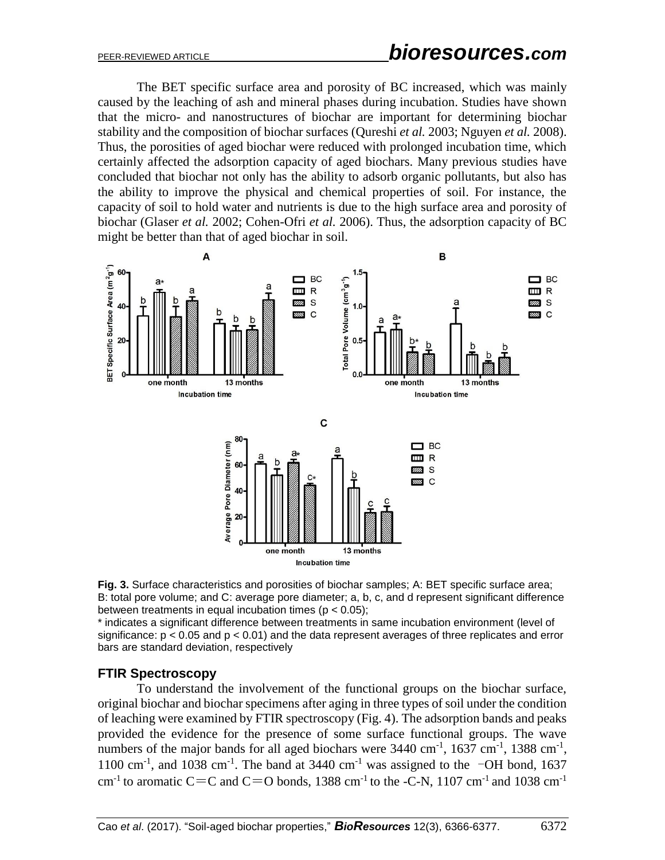The BET specific surface area and porosity of BC increased, which was mainly caused by the leaching of ash and mineral phases during incubation. Studies have shown that the micro- and nanostructures of biochar are important for determining biochar stability and the composition of biochar surfaces (Qureshi *et al.* 2003; Nguyen *et al.* 2008). Thus, the porosities of aged biochar were reduced with prolonged incubation time, which certainly affected the adsorption capacity of aged biochars. Many previous studies have concluded that biochar not only has the ability to adsorb organic pollutants, but also has the ability to improve the physical and chemical properties of soil. For instance, the capacity of soil to hold water and nutrients is due to the high surface area and porosity of biochar (Glaser *et al.* 2002; Cohen-Ofri *et al.* 2006). Thus, the adsorption capacity of BC might be better than that of aged biochar in soil.





\* indicates a significant difference between treatments in same incubation environment (level of significance:  $p \le 0.05$  and  $p < 0.01$ ) and the data represent averages of three replicates and error bars are standard deviation, respectively

## **FTIR Spectroscopy**

To understand the involvement of the functional groups on the biochar surface, original biochar and biochar specimens after aging in three types of soil under the condition of leaching were examined by FTIR spectroscopy (Fig. 4). The adsorption bands and peaks provided the evidence for the presence of some surface functional groups. The wave numbers of the major bands for all aged biochars were  $3440 \text{ cm}^{-1}$ ,  $1637 \text{ cm}^{-1}$ ,  $1388 \text{ cm}^{-1}$ , 1100 cm<sup>-1</sup>, and 1038 cm<sup>-1</sup>. The band at 3440 cm<sup>-1</sup> was assigned to the  $\neg$ OH bond, 1637 cm<sup>-1</sup> to aromatic C=C and C=O bonds, 1388 cm<sup>-1</sup> to the -C-N, 1107 cm<sup>-1</sup> and 1038 cm<sup>-1</sup>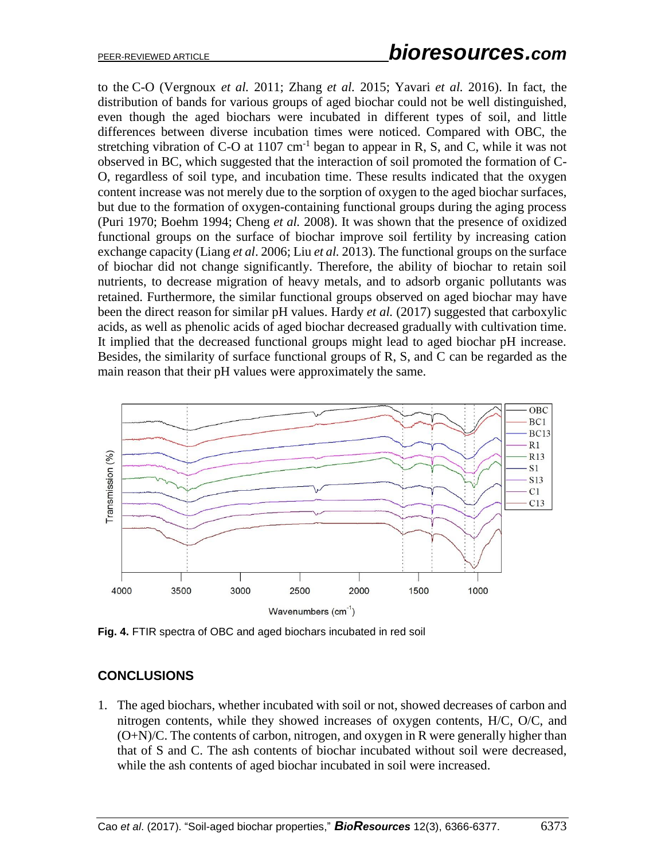to the C-O [\(Vergnoux](http://www.sciencedirect.com/science/article/pii/S0048969716323518#bb0195) *et al.* 2011; Zhang *et al.* 2015; Yavari *et al.* 2016). In fact, the distribution of bands for various groups of aged biochar could not be well distinguished, even though the aged biochars were incubated in different types of soil, and little differences between diverse incubation times were noticed. Compared with OBC, the stretching vibration of C-O at  $1107 \text{ cm}^{-1}$  began to appear in R, S, and C, while it was not observed in BC, which suggested that the interaction of soil promoted the formation of C-O, regardless of soil type, and incubation time. These results indicated that the oxygen content increase was not merely due to the sorption of oxygen to the aged biochar surfaces, but due to the formation of oxygen-containing functional groups during the aging process (Puri 1970; Boehm 1994; Cheng *et al.* 2008). It was shown that the presence of oxidized functional groups on the surface of biochar improve soil fertility by increasing cation exchange capacity (Liang *et al*. 2006; Liu *et al.* 2013). The functional groups on the surface of biochar did not change significantly. Therefore, the ability of biochar to retain soil nutrients, to decrease migration of heavy metals, and to adsorb organic pollutants was retained. Furthermore, the similar functional groups observed on aged biochar may have been the direct reason for similar pH values. Hardy *et al.* (2017) suggested that carboxylic acids, as well as phenolic acids of aged biochar decreased gradually with cultivation time. It implied that the decreased functional groups might lead to aged biochar pH increase. Besides, the similarity of surface functional groups of R, S, and C can be regarded as the main reason that their pH values were approximately the same.



**Fig. 4.** FTIR spectra of OBC and aged biochars incubated in red soil

## **CONCLUSIONS**

1. The aged biochars, whether incubated with soil or not, showed decreases of carbon and nitrogen contents, while they showed increases of oxygen contents, H/C, O/C, and (O+N)/C. The contents of carbon, nitrogen, and oxygen in R were generally higher than that of S and C. The ash contents of biochar incubated without soil were decreased, while the ash contents of aged biochar incubated in soil were increased.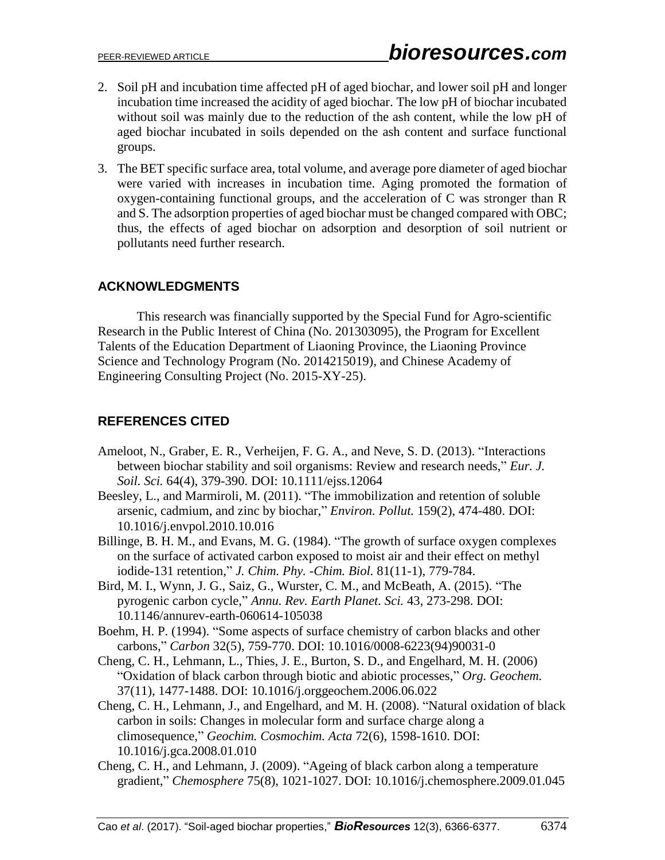- 2. Soil pH and incubation time affected pH of aged biochar, and lower soil pH and longer incubation time increased the acidity of aged biochar. The low pH of biochar incubated without soil was mainly due to the reduction of the ash content, while the low pH of aged biochar incubated in soils depended on the ash content and surface functional groups.
- 3. The BET specific surface area, total volume, and average pore diameter of aged biochar were varied with increases in incubation time. Aging promoted the formation of oxygen-containing functional groups, and the acceleration of C was stronger than R and S. The adsorption properties of aged biochar must be changed compared with OBC; thus, the effects of aged biochar on adsorption and desorption of soil nutrient or pollutants need further research.

# **ACKNOWLEDGMENTS**

This research was financially supported by the Special Fund for Agro-scientific Research in the Public Interest of China (No. 201303095), the Program for Excellent Talents of the Education Department of Liaoning Province, the Liaoning Province Science and Technology Program (No. 2014215019), and Chinese Academy of Engineering Consulting Project (No. 2015-XY-25).

# **REFERENCES CITED**

- Ameloot, N., Graber, E. R., Verheijen, F. G. A., and Neve, S. D. (2013). "Interactions between biochar stability and soil organisms: Review and research needs," *Eur. J. Soil. Sci.* 64(4), 379-390. [DOI: 10.1111/ejss.12064](https://doi.org/10.1111/ejss.12064)
- Beesley, L., and Marmiroli, M. (2011). "The immobilization and retention of soluble arsenic, cadmium, and zinc by biochar," *Environ. Pollut.* 159(2), 474-480. DOI: 10.1016/j.envpol.2010.10.016
- Billinge, B. H. M., and Evans, M. G. (1984). "The growth of surface oxygen complexes on the surface of activated carbon exposed to moist air and their effect on methyl iodide-131 retention," *J. Chim. Phy. -Chim. Biol.* 81(11-1), 779-784.
- Bird, M. I., Wynn, J. G., Saiz, G., Wurster, C. M., and McBeath, A. (2015). "The pyrogenic carbon cycle," *Annu. Rev. Earth Planet. Sci.* 43, 273-298. [DOI:](https://doi.org/10.1146/annurev-earth-060614-105038)  [10.1146/annurev-earth-060614-105038](https://doi.org/10.1146/annurev-earth-060614-105038)
- Boehm, H. P. (1994). "Some aspects of surface chemistry of carbon blacks and other carbons," *Carbon* 32(5), 759-770. DOI: 10.1016/0008-6223(94)90031-0
- Cheng, C. H., Lehmann, L., Thies, J. E., Burton, S. D., and Engelhard, M. H. (2006) "Oxidation of black carbon through biotic and abiotic processes," *Org. Geochem.* 37(11), 1477-1488. DOI: 10.1016/j.orggeochem.2006.06.022
- Cheng, C. H., Lehmann, J., and Engelhard, and M. H. (2008). "Natural oxidation of black carbon in soils: Changes in molecular form and surface charge along a climosequence," *Geochim. Cosmochim. Acta* 72(6), 1598-1610. DOI: 10.1016/j.gca.2008.01.010
- Cheng, C. H., and Lehmann, J. (2009). "Ageing of black carbon along a temperature gradient," *Chemosphere* 75(8), 1021-1027. [DOI: 10.1016/j.chemosphere.2009.01.045](https://doi.org/10.1016/j.chemosphere.2009.01.045)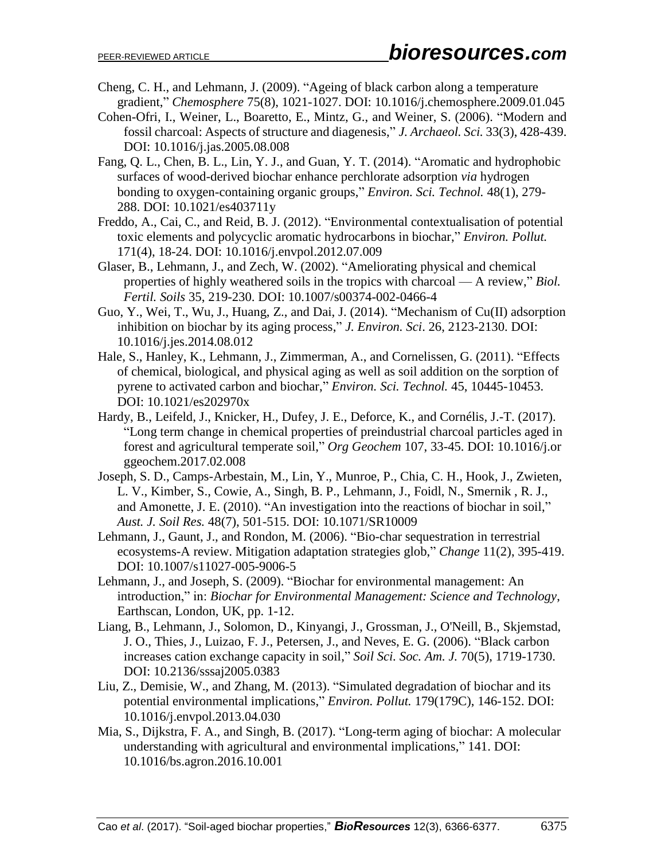- Cheng, C. H., and Lehmann, J. (2009). "Ageing of black carbon along a temperature gradient," *Chemosphere* 75(8), 1021-1027. DOI: 10.1016/j.chemosphere.2009.01.045
- Cohen-Ofri, I., Weiner, L., Boaretto, E., Mintz, G., and Weiner, S. (2006). "Modern and fossil charcoal: Aspects of structure and diagenesis," *J. Archaeol. Sci.* 33(3), 428-439. [DOI: 10.1016/j.jas.2005.08.008](https://doi.org/10.1016/j.jas.2005.08.008)
- Fang, Q. L., Chen, B. L., Lin, Y. J., and Guan, Y. T. (2014). "Aromatic and hydrophobic surfaces of wood-derived biochar enhance perchlorate adsorption *via* hydrogen bonding to oxygen-containing organic groups," *Environ. Sci. Technol.* 48(1), 279- 288. DOI: 10.1021/es403711y
- Freddo, A., Cai, C., and Reid, B. J. (2012). "Environmental contextualisation of potential toxic elements and polycyclic aromatic hydrocarbons in biochar," *Environ. Pollut.*  171(4), 18-24. DOI: 10.1016/j.envpol.2012.07.009
- Glaser, B., Lehmann, J., and Zech, W. (2002). "Ameliorating physical and chemical properties of highly weathered soils in the tropics with charcoal — A review," *Biol. Fertil. Soils* 35, 219-230. [DOI: 10.1007/s00374-002-0466-4](https://doi.org/10.1007/s00374-002-0466-4)
- Guo, Y., Wei, T., Wu, J., Huang, Z., and Dai, J. (2014). "Mechanism of Cu(II) adsorption inhibition on biochar by its aging process," *J. Environ. Sci*. 26, 2123-2130. DOI: 10.1016/j.jes.2014.08.012
- Hale, S., Hanley, K., Lehmann, J., Zimmerman, A., and Cornelissen, G. (2011). "Effects of chemical, biological, and physical aging as well as soil addition on the sorption of pyrene to activated carbon and biochar," *Environ. Sci. Technol.* 45, 10445-10453. [DOI: 10.1021/es202970x](https://doi.org/10.1021/es202970x)
- Hardy, B., Leifeld, J., Knicker, H., Dufey, J. E., Deforce, K., and Cornélis, J.-T. (2017). "Long term change in chemical properties of preindustrial charcoal particles aged in forest and agricultural temperate soil," *Org Geochem* 107, 33-45. DOI: 10.1016/j.or ggeochem.2017.02.008
- Joseph, S. D., Camps-Arbestain, M., Lin, Y., Munroe, P., Chia, C. H., Hook, J., Zwieten, L. V., Kimber, S., Cowie, A., Singh, B. P., Lehmann, J., Foidl, N., Smernik , R. J., and Amonette, J. E. (2010). "An investigation into the reactions of biochar in soil," *Aust. J. Soil Res.* 48(7), 501-515. DOI: 10.1071/SR10009
- Lehmann, J., Gaunt, J., and Rondon, M. (2006). "Bio-char sequestration in terrestrial ecosystems-A review. Mitigation adaptation strategies glob," *Change* 11(2), 395-419. DOI: 10.1007/s11027-005-9006-5
- Lehmann, J., and Joseph, S. (2009). "Biochar for environmental management: An introduction," in: *Biochar for Environmental Management: Science and Technology*, Earthscan, London, UK, pp. 1-12.
- Liang, B., Lehmann, J., Solomon, D., Kinyangi, J., Grossman, J., O'Neill, B., Skjemstad, J. O., Thies, J., Luizao, F. J., Petersen, J., and Neves, E. G. (2006). "Black carbon increases cation exchange capacity in soil," *Soil Sci. Soc. Am. J.* 70(5), 1719-1730. [DOI: 10.2136/sssaj2005.0383](https://doi.org/10.2136/sssaj2005.0383)
- Liu, Z., Demisie, W., and Zhang, M. (2013). "Simulated degradation of biochar and its potential environmental implications," *Environ. Pollut.* 179(179C), 146-152. [DOI:](https://doi.org/10.1016/j.envpol.2013.04.030)  [10.1016/j.envpol.2013.04.030](https://doi.org/10.1016/j.envpol.2013.04.030)
- Mia, S., Dijkstra, F. A., and Singh, B. (2017). "Long-term aging of biochar: A molecular understanding with agricultural and environmental implications," 141. [DOI:](https://doi.org/10.1016/bs.agron.2016.10.001)  [10.1016/bs.agron.2016.10.001](https://doi.org/10.1016/bs.agron.2016.10.001)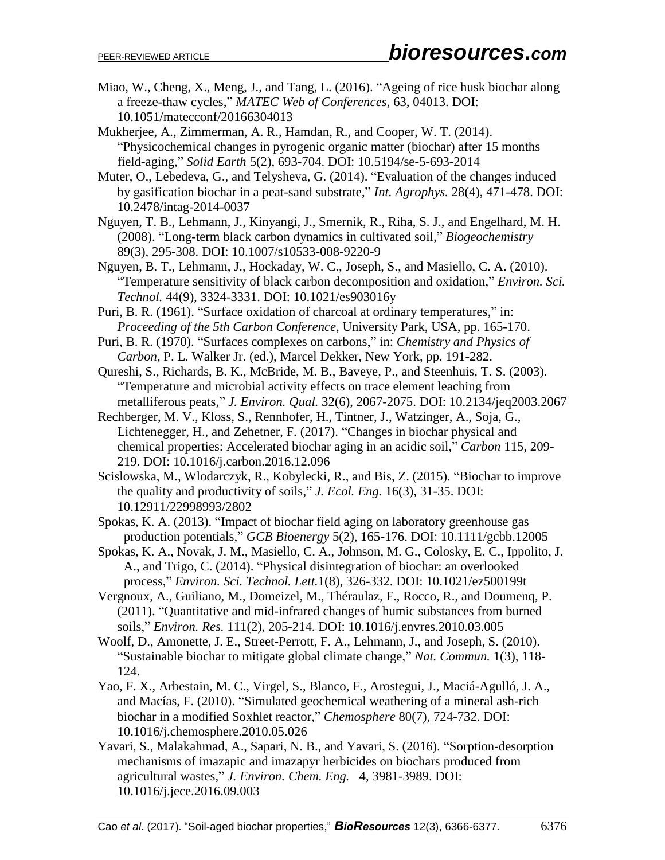- Miao, W., Cheng, X., Meng, J., and Tang, L. (2016). "Ageing of rice husk biochar along a freeze-thaw cycles," *MATEC Web of Conferences*, 63, 04013. [DOI:](https://doi.org/10.1051/matecconf/20166304013)  [10.1051/matecconf/20166304013](https://doi.org/10.1051/matecconf/20166304013)
- Mukherjee, A., Zimmerman, A. R., Hamdan, R., and Cooper, W. T. (2014). "Physicochemical changes in pyrogenic organic matter (biochar) after 15 months field-aging," *Solid Earth* 5(2), 693-704. DOI: 10.5194/se-5-693-2014
- Muter, O., Lebedeva, G., and Telysheva, G. (2014). "Evaluation of the changes induced by gasification biochar in a peat-sand substrate," *Int. Agrophys.* 28(4), 471-478. DOI: 10.2478/intag-2014-0037
- Nguyen, T. B., Lehmann, J., Kinyangi, J., Smernik, R., Riha, S. J., and Engelhard, M. H. (2008). "Long-term black carbon dynamics in cultivated soil," *Biogeochemistry* 89(3), 295-308. DOI: 10.1007/s10533-008-9220-9
- Nguyen, B. T., Lehmann, J., Hockaday, W. C., Joseph, S., and Masiello, C. A. (2010). "Temperature sensitivity of black carbon decomposition and oxidation," *Environ. Sci. Technol.* 44(9), 3324-3331. DOI: 10.1021/es903016y
- Puri, B. R. (1961). "Surface oxidation of charcoal at ordinary temperatures," in: *Proceeding of the 5th Carbon Conference*, University Park, USA, pp. 165-170.
- Puri, B. R. (1970). "Surfaces complexes on carbons," in: *Chemistry and Physics of Carbon,* P. L. Walker Jr. (ed.), Marcel Dekker, New York, pp. 191-282.
- Qureshi, S., Richards, B. K., McBride, M. B., Baveye, P., and Steenhuis, T. S. (2003). "Temperature and microbial activity effects on trace element leaching from metalliferous peats," *J. Environ. Qual.* 32(6), 2067-2075. DOI: 10.2134/jeq2003.2067
- Rechberger, M. V., Kloss, S., Rennhofer, H., Tintner, J., Watzinger, A., Soja, G., Lichtenegger, H., and Zehetner, F. (2017). "Changes in biochar physical and chemical properties: Accelerated biochar aging in an acidic soil," *Carbon* 115, 209- 219. [DOI: 10.1016/j.carbon.2016.12.096](https://doi.org/10.1016/j.carbon.2016.12.096)
- Scislowska, M., Wlodarczyk, R., Kobylecki, R., and Bis, Z. (2015). "Biochar to improve the quality and productivity of soils," *J. Ecol. Eng.* 16(3), 31-35. DOI: 10.12911/22998993/2802
- Spokas, K. A. (2013). "Impact of biochar field aging on laboratory greenhouse gas production potentials," *GCB Bioenergy* 5(2), 165-176. [DOI: 10.1111/gcbb.12005](https://doi.org/10.1111/gcbb.12005)
- Spokas, K. A., Novak, J. M., Masiello, C. A., Johnson, M. G., Colosky, E. C., Ippolito, J. A., and Trigo, C. (2014). "Physical disintegration of biochar: an overlooked process," *Environ. Sci. Technol. Lett.*1(8), 326-332. [DOI: 10.1021/ez500199t](https://doi.org/10.1021/ez500199t)
- Vergnoux, A., Guiliano, M., Domeizel, M., Théraulaz, F., Rocco, R., and Doumenq, P. (2011). "Quantitative and mid-infrared changes of humic substances from burned soils," *Environ. Res.* 111(2), 205-214. DOI: 10.1016/j.envres.2010.03.005
- Woolf, D., Amonette, J. E., Street-Perrott, F. A., Lehmann, J., and Joseph, S. (2010). "Sustainable biochar to mitigate global climate change," *Nat. Commun.* 1(3), 118- 124.
- Yao, F. X., Arbestain, M. C., Virgel, S., Blanco, F., Arostegui, J., Maciá-Agulló, J. A., and Macías, F. (2010). "Simulated geochemical weathering of a mineral ash-rich biochar in a modified Soxhlet reactor," *Chemosphere* 80(7), 724-732. DOI: 10.1016/j.chemosphere.2010.05.026
- Yavari, S., Malakahmad, A., Sapari, N. B., and Yavari, S. (2016). "Sorption-desorption mechanisms of imazapic and imazapyr herbicides on biochars produced from agricultural wastes," *J. Environ. Chem. Eng.* 4, 3981-3989. DOI: 10.1016/j.jece.2016.09.003